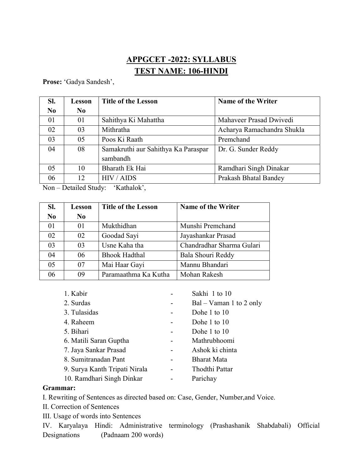## APPGCET -2022: SYLLABUS TEST NAME: 106-HINDI

Prose: 'Gadya Sandesh',

| SI.            | Lesson | <b>Title of the Lesson</b>          | <b>Name of the Writer</b>  |
|----------------|--------|-------------------------------------|----------------------------|
| N <sub>0</sub> | No     |                                     |                            |
| 01             | 01     | Sahithya Ki Mahattha                | Mahaveer Prasad Dwivedi    |
| 02             | 03     | Mithratha                           | Acharya Ramachandra Shukla |
| 03             | 05     | Poos Ki Raath                       | Premchand                  |
| 04             | 08     | Samakruthi aur Sahithya Ka Paraspar | Dr. G. Sunder Reddy        |
|                |        | sambandh                            |                            |
| 05             | 10     | Bharath Ek Hai                      | Ramdhari Singh Dinakar     |
| 06             | 12     | HIV / AIDS                          | Prakash Bhatal Bandey      |

Non – Detailed Study: 'Kathalok',

| SI.            | Lesson         | <b>Title of the Lesson</b> | <b>Name of the Writer</b> |
|----------------|----------------|----------------------------|---------------------------|
| N <sub>0</sub> | N <sub>0</sub> |                            |                           |
| 01             | 01             | Mukthidhan                 | Munshi Premchand          |
| 02             | 02             | Goodad Sayi                | Jayashankar Prasad        |
| 03             | 03             | Usne Kaha tha              | Chandradhar Sharma Gulari |
| 04             | 06             | <b>Bhook Hadthal</b>       | Bala Shouri Reddy         |
| 05             | 07             | Mai Haar Gayi              | Mannu Bhandari            |
| 06             | 09             | Paramaathma Ka Kutha       | Mohan Rakesh              |

| 1. Kabir                      | Sakhi 1 to 10             |
|-------------------------------|---------------------------|
| 2. Surdas                     | $Bal - Vaman 1 to 2 only$ |
| 3. Tulasidas                  | Dohe 1 to 10              |
| 4. Raheem                     | Dohe 1 to 10              |
| 5. Bihari                     | Dohe 1 to 10              |
| 6. Matili Saran Guptha        | Mathrubhoomi              |
| 7. Jaya Sankar Prasad         | Ashok ki chinta           |
| 8. Sumitranadan Pant          | <b>Bharat Mata</b>        |
| 9. Surya Kanth Tripati Nirala | Thodthi Pattar            |
| 10. Ramdhari Singh Dinkar     | Parichay                  |

## Grammar:

I. Rewriting of Sentences as directed based on: Case, Gender, Number,and Voice.

- II. Correction of Sentences
- III. Usage of words into Sentences

IV. Karyalaya Hindi: Administrative terminology (Prashashanik Shabdabali) Official Designations (Padnaam 200 words)